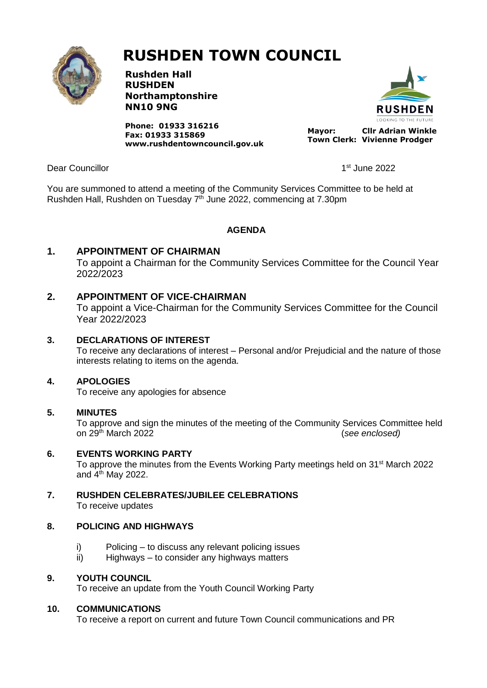

# **RUSHDEN TOWN COUNCIL**

**Rushden Hall RUSHDEN Northamptonshire NN10 9NG**

**Phone: 01933 316216 Fax: 01933 315869 [www.rushdentowncouncil.gov.uk](http://www.rushdentowncouncil.gov.uk/)**



**Mayor: Cllr Adrian Winkle Town Clerk: Vivienne Prodger**

Dear Councillor

1st June 2022

You are summoned to attend a meeting of the Community Services Committee to be held at Rushden Hall, Rushden on Tuesday 7<sup>th</sup> June 2022, commencing at 7.30pm

# **AGENDA**

# **1. APPOINTMENT OF CHAIRMAN**

To appoint a Chairman for the Community Services Committee for the Council Year 2022/2023

# **2. APPOINTMENT OF VICE-CHAIRMAN**

To appoint a Vice-Chairman for the Community Services Committee for the Council Year 2022/2023

#### **3. DECLARATIONS OF INTEREST**

To receive any declarations of interest – Personal and/or Prejudicial and the nature of those interests relating to items on the agenda.

#### **4. APOLOGIES**

To receive any apologies for absence

#### **5. MINUTES**

To approve and sign the minutes of the meeting of the Community Services Committee held on 29th March 2022 (*see enclosed)*

#### **6. EVENTS WORKING PARTY**

To approve the minutes from the Events Working Party meetings held on  $31<sup>st</sup>$  March 2022 and 4<sup>th</sup> May 2022.

**7. RUSHDEN CELEBRATES/JUBILEE CELEBRATIONS** To receive updates

# **8. POLICING AND HIGHWAYS**

- i) Policing to discuss any relevant policing issues
- ii) Highways to consider any highways matters

#### **9. YOUTH COUNCIL**

To receive an update from the Youth Council Working Party

#### **10. COMMUNICATIONS**

To receive a report on current and future Town Council communications and PR